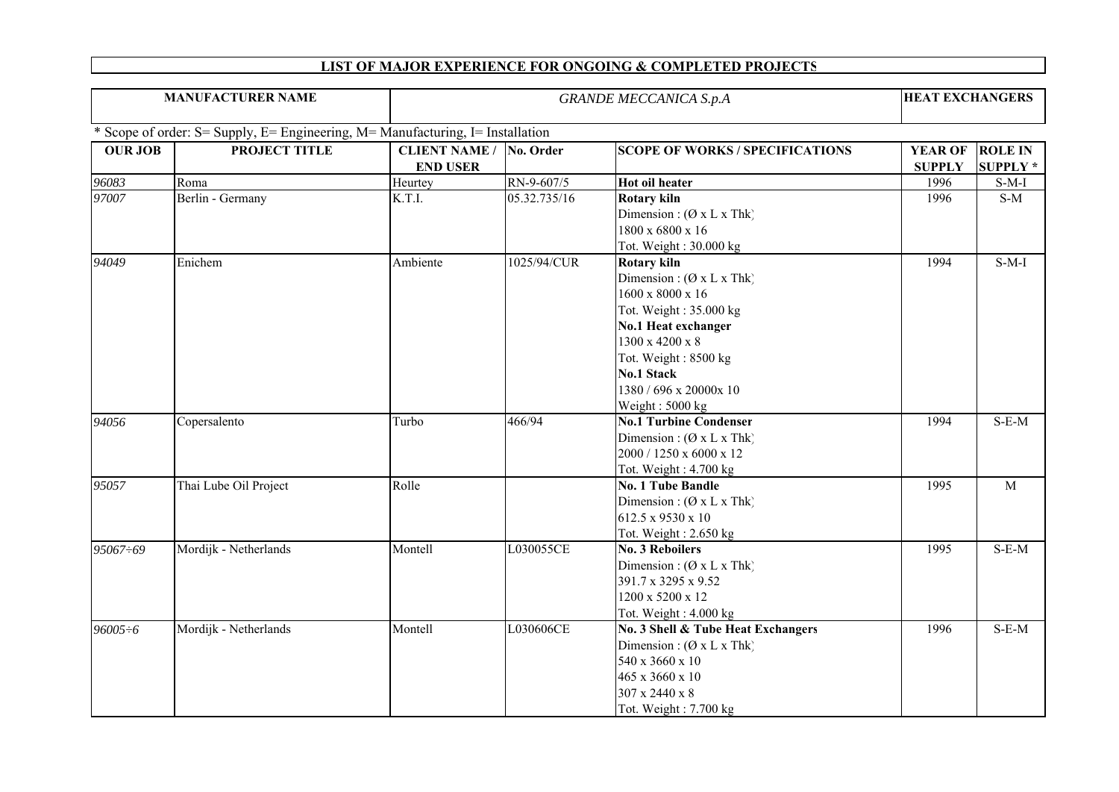| <b>MANUFACTURER NAME</b> |                                                                                |                                         | <b>GRANDE MECCANICA S.p.A</b> |                                                                                                                                                                                                                                                          |                                 |                                  |  |
|--------------------------|--------------------------------------------------------------------------------|-----------------------------------------|-------------------------------|----------------------------------------------------------------------------------------------------------------------------------------------------------------------------------------------------------------------------------------------------------|---------------------------------|----------------------------------|--|
|                          | * Scope of order: S= Supply, E= Engineering, M= Manufacturing, I= Installation |                                         |                               |                                                                                                                                                                                                                                                          |                                 |                                  |  |
| <b>OUR JOB</b>           | PROJECT TITLE                                                                  | <b>CLIENT NAME /</b><br><b>END USER</b> | No. Order                     | <b>SCOPE OF WORKS / SPECIFICATIONS</b>                                                                                                                                                                                                                   | <b>YEAR OF</b><br><b>SUPPLY</b> | <b>ROLE IN</b><br><b>SUPPLY*</b> |  |
| 96083                    | Roma                                                                           | Heurtey                                 | RN-9-607/5                    | <b>Hot oil heater</b>                                                                                                                                                                                                                                    | 1996                            | $S-M-I$                          |  |
| 97007                    | Berlin - Germany                                                               | K.T.I.                                  | 05.32.735/16                  | <b>Rotary kiln</b><br>Dimension: $(\emptyset x L x Thk)$<br>1800 x 6800 x 16<br>Tot. Weight: 30.000 kg                                                                                                                                                   | 1996                            | $S-M$                            |  |
| 94049                    | Enichem                                                                        | Ambiente                                | 1025/94/CUR                   | <b>Rotary kiln</b><br>Dimension: $(\emptyset x L x Thk)$<br>$1600 \times 8000 \times 16$<br>Tot. Weight: 35.000 kg<br>No.1 Heat exchanger<br>1300 x 4200 x 8<br>Tot. Weight: 8500 kg<br><b>No.1 Stack</b><br>1380 / 696 x 20000x 10<br>Weight: $5000 kg$ | 1994                            | $S-M-I$                          |  |
| 94056                    | Copersalento                                                                   | Turbo                                   | 466/94                        | <b>No.1 Turbine Condenser</b><br>Dimension: $(\emptyset x L x Thk)$<br>2000 / 1250 x 6000 x 12<br>Tot. Weight: 4.700 kg                                                                                                                                  | 1994                            | $S-E-M$                          |  |
| 95057                    | Thai Lube Oil Project                                                          | Rolle                                   |                               | <b>No. 1 Tube Bandle</b><br>Dimension: $(\emptyset x L x Thk)$<br>612.5 x 9530 x 10<br>Tot. Weight: $2.650$ kg                                                                                                                                           | 1995                            | $\mathbf M$                      |  |
| 95067÷69                 | Mordijk - Netherlands                                                          | Montell                                 | L030055CE                     | <b>No. 3 Reboilers</b><br>Dimension: (Ø x L x Thk)<br>391.7 x 3295 x 9.52<br>1200 x 5200 x 12<br>Tot. Weight: 4.000 kg                                                                                                                                   | 1995                            | $S-E-M$                          |  |
| $96005 \div 6$           | Mordijk - Netherlands                                                          | Montell                                 | L030606CE                     | No. 3 Shell & Tube Heat Exchangers<br>Dimension: $(\emptyset x L x Thk)$<br>540 x 3660 x 10<br>465 x 3660 x 10<br>$307$ x $2440$ x $8$<br>Tot. Weight: 7.700 kg                                                                                          | 1996                            | $S-E-M$                          |  |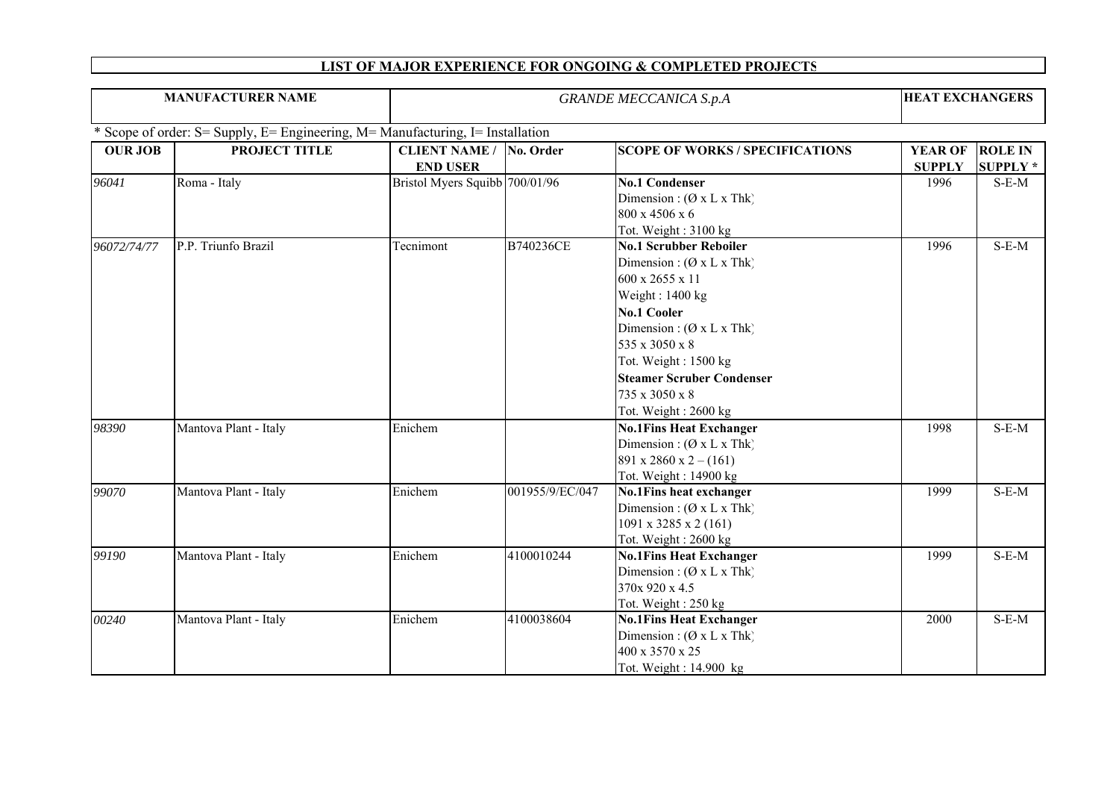| <b>MANUFACTURER NAME</b> |                                                                                |                                                   | <b>GRANDE MECCANICA S.p.A</b> |                                                                                                                                                                                                                                                                                                |                                 |                                   |
|--------------------------|--------------------------------------------------------------------------------|---------------------------------------------------|-------------------------------|------------------------------------------------------------------------------------------------------------------------------------------------------------------------------------------------------------------------------------------------------------------------------------------------|---------------------------------|-----------------------------------|
|                          | * Scope of order: S= Supply, E= Engineering, M= Manufacturing, I= Installation |                                                   |                               |                                                                                                                                                                                                                                                                                                |                                 |                                   |
| <b>OUR JOB</b>           | <b>PROJECT TITLE</b>                                                           | <b>CLIENT NAME / No. Order</b><br><b>END USER</b> |                               | <b>SCOPE OF WORKS / SPECIFICATIONS</b>                                                                                                                                                                                                                                                         | <b>YEAR OF</b><br><b>SUPPLY</b> | <b>ROLE IN</b><br><b>SUPPLY *</b> |
| 96041                    | Roma - Italy                                                                   | Bristol Myers Squibb 700/01/96                    |                               | <b>No.1 Condenser</b><br>Dimension: $(\emptyset x L x Thk)$<br>800 x 4506 x 6<br>Tot. Weight: 3100 kg                                                                                                                                                                                          | 1996                            | $S-E-M$                           |
| 96072/74/77              | P.P. Triunfo Brazil                                                            | Tecnimont                                         | B740236CE                     | <b>No.1 Scrubber Reboiler</b><br>Dimension : $(\emptyset x L x Thk)$<br>600 x 2655 x 11<br>Weight: 1400 kg<br><b>No.1 Cooler</b><br>Dimension: $(\emptyset x L x Thk)$<br>535 x 3050 x 8<br>Tot. Weight: 1500 kg<br><b>Steamer Scruber Condenser</b><br>735 x 3050 x 8<br>Tot. Weight: 2600 kg | 1996                            | $S-E-M$                           |
| 98390                    | Mantova Plant - Italy                                                          | Enichem                                           |                               | <b>No.1Fins Heat Exchanger</b><br>Dimension: (Ø x L x Thk)<br>891 x 2860 x 2 – (161)<br>Tot. Weight: 14900 kg                                                                                                                                                                                  | 1998                            | $S-E-M$                           |
| 99070                    | Mantova Plant - Italy                                                          | Enichem                                           | 001955/9/EC/047               | <b>No.1Fins heat exchanger</b><br>Dimension: $(Ø \times L \times Thk)$<br>$1091 \times 3285 \times 2(161)$<br>Tot. Weight: 2600 kg                                                                                                                                                             | 1999                            | $S-E-M$                           |
| 99190                    | Mantova Plant - Italy                                                          | Enichem                                           | 4100010244                    | <b>No.1Fins Heat Exchanger</b><br>Dimension: $(\emptyset x L x Thk)$<br>370x 920 x 4.5<br>Tot. Weight: 250 kg                                                                                                                                                                                  | 1999                            | $S-E-M$                           |
| 00240                    | Mantova Plant - Italy                                                          | Enichem                                           | 4100038604                    | <b>No.1Fins Heat Exchanger</b><br>Dimension: $(Ø \times L \times Thk)$<br>400 x 3570 x 25<br>Tot. Weight: 14.900 kg                                                                                                                                                                            | 2000                            | $S-E-M$                           |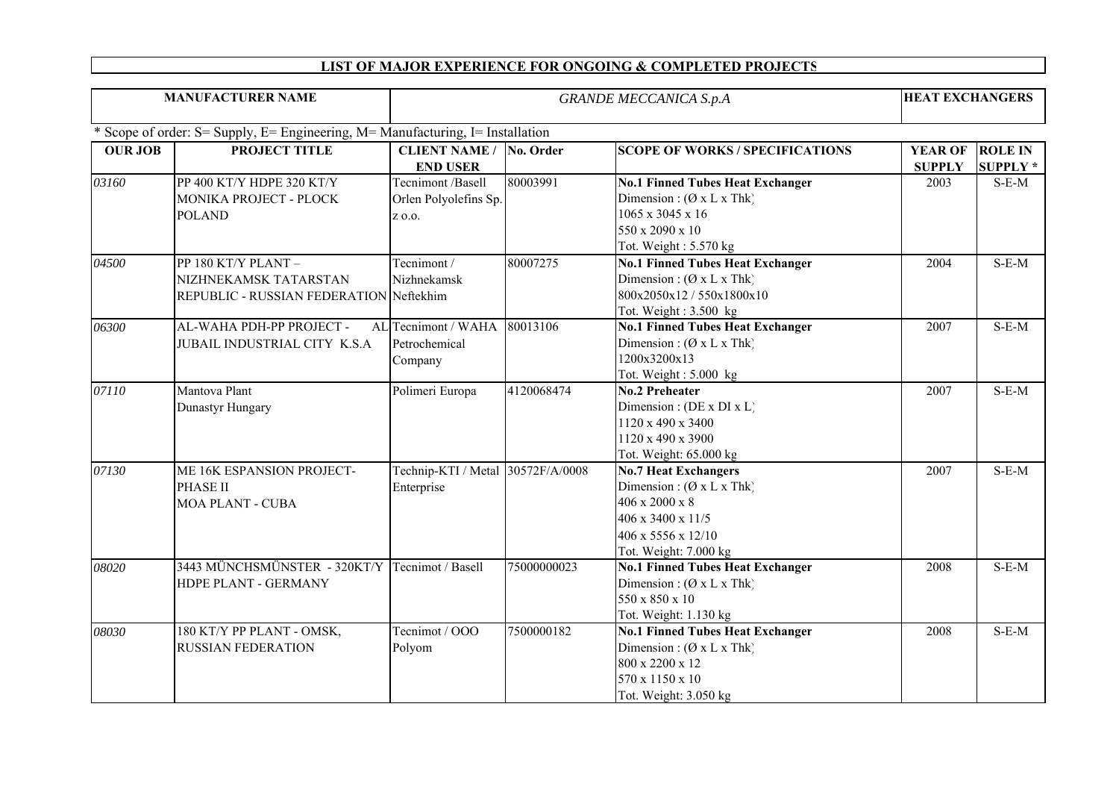| <b>MANUFACTURER NAME</b> |                                                                                         | <b>GRANDE MECCANICA S.p.A</b>                        |               |                                                                                                                                                         |                                 | <b>HEAT EXCHANGERS</b>           |  |
|--------------------------|-----------------------------------------------------------------------------------------|------------------------------------------------------|---------------|---------------------------------------------------------------------------------------------------------------------------------------------------------|---------------------------------|----------------------------------|--|
|                          | * Scope of order: S= Supply, E= Engineering, M= Manufacturing, I= Installation          |                                                      |               |                                                                                                                                                         |                                 |                                  |  |
| <b>OUR JOB</b>           | <b>PROJECT TITLE</b>                                                                    | <b>CLIENT NAME /</b><br><b>END USER</b>              | No. Order     | <b>SCOPE OF WORKS / SPECIFICATIONS</b>                                                                                                                  | <b>YEAR OF</b><br><b>SUPPLY</b> | <b>ROLE IN</b><br><b>SUPPLY*</b> |  |
| 03160                    | PP 400 KT/Y HDPE 320 KT/Y<br>MONIKA PROJECT - PLOCK<br><b>POLAND</b>                    | Tecnimont /Basell<br>Orlen Polyolefins Sp.<br>Z 0.0. | 80003991      | <b>No.1 Finned Tubes Heat Exchanger</b><br>Dimension: $(\emptyset x L x Thk)$<br>1065 x 3045 x 16<br>550 x 2090 x 10<br>Tot. Weight: 5.570 kg           | 2003                            | $S-E-M$                          |  |
| 04500                    | PP 180 KT/Y PLANT -<br>NIZHNEKAMSK TATARSTAN<br>REPUBLIC - RUSSIAN FEDERATION Neftekhim | Tecnimont /<br>Nizhnekamsk                           | 80007275      | <b>No.1 Finned Tubes Heat Exchanger</b><br>Dimension: $(\emptyset x L x Thk)$<br>800x2050x12/550x1800x10<br>Tot. Weight: 3.500 kg                       | 2004                            | $S-E-M$                          |  |
| 06300                    | AL-WAHA PDH-PP PROJECT -<br>JUBAIL INDUSTRIAL CITY K.S.A                                | AL Tecnimont / WAHA<br>Petrochemical<br>Company      | 80013106      | <b>No.1 Finned Tubes Heat Exchanger</b><br>Dimension: $(\emptyset x L x Thk)$<br>1200x3200x13<br>Tot. Weight: $5.000 \text{ kg}$                        | 2007                            | $S-E-M$                          |  |
| 07110                    | Mantova Plant<br>Dunastyr Hungary                                                       | Polimeri Europa                                      | 4120068474    | No.2 Preheater<br>Dimension : (DE x DI x L)<br>1120 x 490 x 3400<br>1120 x 490 x 3900<br>Tot. Weight: 65.000 kg                                         | 2007                            | $S-E-M$                          |  |
| $0713\overline{0}$       | ME 16K ESPANSION PROJECT-<br><b>PHASE II</b><br><b>MOA PLANT - CUBA</b>                 | Technip-KTI / Metal<br>Enterprise                    | 30572F/A/0008 | <b>No.7 Heat Exchangers</b><br>Dimension: $(\emptyset x L x Thk)$<br>406 x 2000 x 8<br>406 x 3400 x 11/5<br>406 x 5556 x 12/10<br>Tot. Weight: 7.000 kg | 2007                            | $S-E-M$                          |  |
| 08020                    | 3443 MÜNCHSMÜNSTER - 320KT/Y Tecnimot / Basell<br>HDPE PLANT - GERMANY                  |                                                      | 75000000023   | <b>No.1 Finned Tubes Heat Exchanger</b><br>Dimension: $(\emptyset x L x Thk)$<br>550 x 850 x 10<br>Tot. Weight: 1.130 kg                                | 2008                            | $S-E-M$                          |  |
| 08030                    | 180 KT/Y PP PLANT - OMSK,<br><b>RUSSIAN FEDERATION</b>                                  | Tecnimot / OOO<br>Polyom                             | 7500000182    | <b>No.1 Finned Tubes Heat Exchanger</b><br>Dimension: $(\emptyset x L x Thk)$<br>800 x 2200 x 12<br>570 x 1150 x 10<br>Tot. Weight: 3.050 kg            | 2008                            | $S-E-M$                          |  |